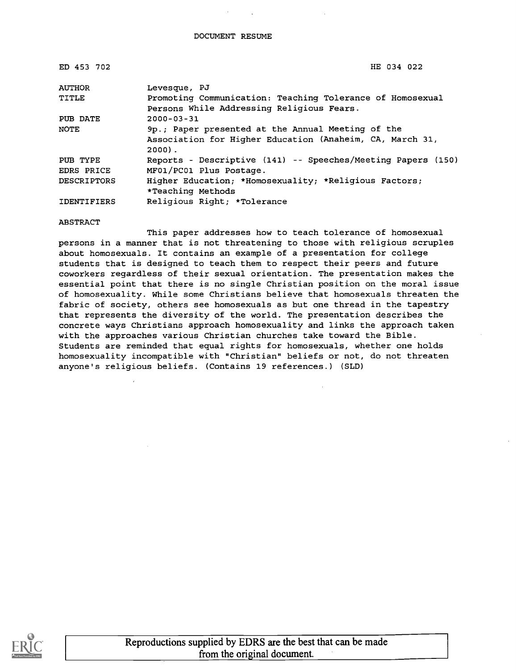| ED 453 702         | HE 034 022                                                   |
|--------------------|--------------------------------------------------------------|
| <b>AUTHOR</b>      | Levesque, PJ                                                 |
| TITLE              | Promoting Communication: Teaching Tolerance of Homosexual    |
|                    | Persons While Addressing Religious Fears.                    |
| PUB DATE           | $2000 - 03 - 31$                                             |
| NOTE               | 9p.; Paper presented at the Annual Meeting of the            |
|                    | Association for Higher Education (Anaheim, CA, March 31,     |
|                    | $2000$ .                                                     |
| PUB TYPE           | Reports - Descriptive (141) -- Speeches/Meeting Papers (150) |
| EDRS PRICE         | MF01/PC01 Plus Postage.                                      |
| <b>DESCRIPTORS</b> | Higher Education; *Homosexuality; *Religious Factors;        |
|                    | *Teaching Methods                                            |
| <b>IDENTIFIERS</b> | Religious Right; *Tolerance                                  |

ABSTRACT

This paper addresses how to teach tolerance of homosexual persons in a manner that is not threatening to those with religious scruples about homosexuals. It contains an example of a presentation for college students that is designed to teach them to respect their peers and future coworkers regardless of their sexual orientation. The presentation makes the essential point that there is no single Christian position on the moral issue of homosexuality. While some Christians believe that homosexuals threaten the fabric of society, others see homosexuals as but one thread in the tapestry that represents the diversity of the world. The presentation describes the concrete ways Christians approach homosexuality and links the approach taken with the approaches various Christian churches take toward the Bible. Students are reminded that equal rights for homosexuals, whether one holds homosexuality incompatible with "Christian" beliefs or not, do not threaten anyone's religious beliefs. (Contains 19 references.) (SLD)

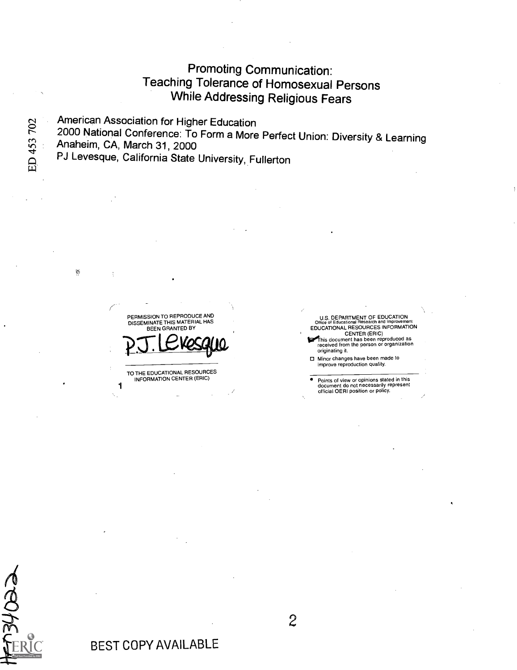### Promoting Communication: Teaching Tolerance of Homosexual Persons While Addressing Religious Fears

American Association for Higher Education American Association for High<br>
2000 National Conference: To<br>
4 Anaheim, CA, March 31, 2000<br>
PJ Levesque, California State

2000 National Conference: To Form a More Perfect Union: Diversity & Learning

i.

 $\ddot{\cdot}$ 

PJ Levesque, California State University, Fullerton

PERMISSION TO REPRODUCE AND DISSEMINATE THIS MATERIAL HAS BEEN GRANTED BY P.J. Levesque

TO THE EDUCATIONAL RESOURCES INFORMATION CENTER (ERIC)

1

U.S. DEPARTMENT OF EDUCATION Office of Educational Research and Improvement EDUCATIONAL RESOURCES INFORMATION CENTER (ERIC)

This document has been reproduced as<br>received from the person or organization originating it.

Minor changes have been made to improve reproduction quality.

Points of view or opinions stated in this document do not necessarily represent official OERI position or policy.

Ă

2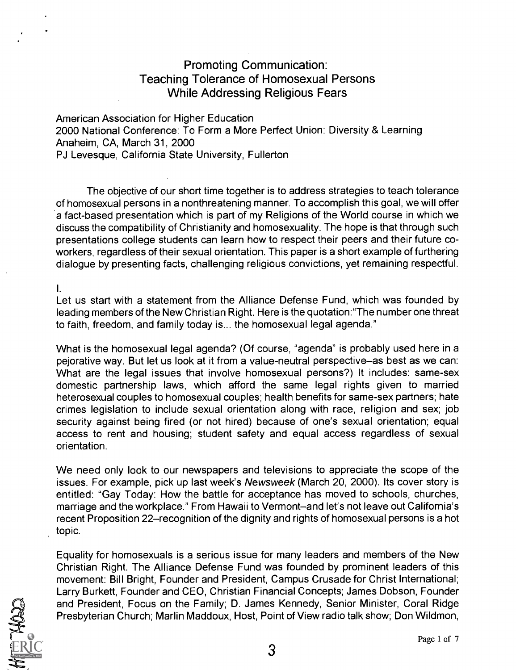### Promoting Communication: Teaching Tolerance of Homosexual Persons While Addressing Religious Fears

American Association for Higher Education 2000 National Conference: To Form a More Perfect Union: Diversity & Learning Anaheim, CA, March 31, 2000 PJ Levesque, California State University, Fullerton

The objective of our short time together is to address strategies to teach tolerance of homosexual persons in a nonthreatening manner. To accomplish this goal, we will offer a fact-based presentation which is part of my Religions of the World course in which we discuss the compatibility of Christianity and homosexuality. The hope is that through such presentations college students can learn how to respect their peers and their future coworkers, regardless of their sexual orientation. This paper is a short example of furthering dialogue by presenting facts, challenging religious convictions, yet remaining respectful.

I.

Let us start with a statement from the Alliance Defense Fund, which was founded by leading members of the New Christian Right. Here is the quotation:"The number one threat to faith, freedom, and family today is... the homosexual legal agenda."

What is the homosexual legal agenda? (Of course, "agenda" is probably used here in a pejorative way. But let us look at it from a value-neutral perspective-as best as we can: What are the legal issues that involve homosexual persons?) It includes: same-sex domestic partnership laws, which afford the same legal rights given to married heterosexual couples to homosexual couples; health benefits for same-sex partners; hate crimes legislation to include sexual orientation along with race, religion and sex; job security against being fired (or not hired) because of one's sexual orientation; equal access to rent and housing; student safety and equal access regardless of sexual orientation.

We need only look to our newspapers and televisions to appreciate the scope of the issues. For example, pick up last week's Newsweek (March 20, 2000). Its cover story is entitled: "Gay Today: How the battle for acceptance has moved to schools, churches, marriage and the workplace." From Hawaii to Vermont-and let's not leave out California's recent Proposition 22–recognition of the dignity and rights of homosexual persons is a hot topic.

Equality for homosexuals is a serious issue for many leaders and members of the New Christian Right. The Alliance Defense Fund was founded by prominent leaders of this movement: Bill Bright, Founder and President, Campus Crusade for Christ International; Larry Burkett, Founder and CEO, Christian Financial Concepts; James Dobson, Founder and President, Focus on the Family; D. James Kennedy, Senior Minister, Coral Ridge Presbyterian Church; Marlin Maddoux, Host, Point of View radio talk show; Don Wildmon,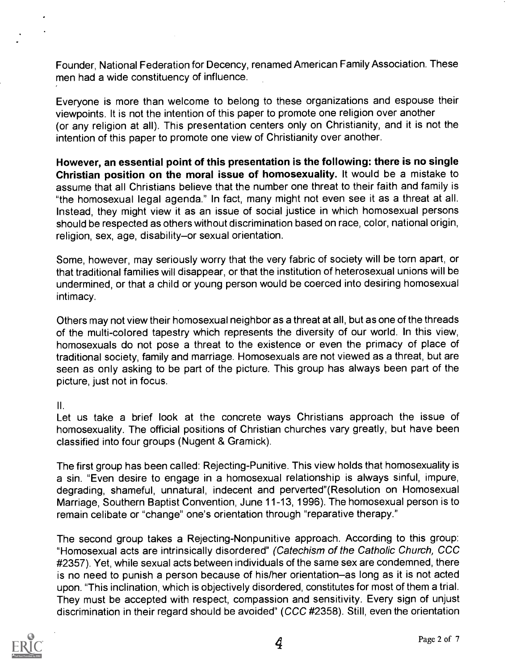Founder, National Federation for Decency, renamed American Family Association. These men had a wide constituency of influence.

Everyone is more than welcome to belong to these organizations and espouse their viewpoints. It is not the intention of this paper to promote one religion over another (or any religion at all). This presentation centers only on Christianity, and it is not the intention of this paper to promote one view of Christianity over another.

However, an essential point of this presentation is the following: there is no single Christian position on the moral issue of homosexuality. It would be a mistake to assume that all Christians believe that the number one threat to their faith and family is "the homosexual legal agenda." In fact, many might not even see it as a threat at all. Instead, they might view it as an issue of social justice in which homosexual persons should be respected as others without discrimination based on race, color, national origin, religion, sex, age, disability-or sexual orientation.

Some, however, may seriously worry that the very fabric of society will be torn apart, or that traditional families will disappear, or that the institution of heterosexual unions will be undermined, or that a child or young person would be coerced into desiring homosexual intimacy.

Others may not view their homosexual neighbor as a threat at all, but as one of the threads of the multi-colored tapestry which represents the diversity of our world. In this view, homosexuals do not pose a threat to the existence or even the primacy of place of traditional society, family and marriage. Homosexuals are not viewed as a threat, but are seen as only asking to be part of the picture. This group has always been part of the picture, just not in focus.

 $II.$ 

Let us take a brief look at the concrete ways Christians approach the issue of homosexuality. The official positions of Christian churches vary greatly, but have been classified into four groups (Nugent & Gramick).

The first group has been called: Rejecting-Punitive. This view holds that homosexuality is a sin. "Even desire to engage in a homosexual relationship is always sinful, impure, degrading, shameful, unnatural, indecent and perverted"(Resolution on Homosexual Marriage, Southern Baptist Convention, June 11-13, 1996). The homosexual person is to remain celibate or "change" one's orientation through "reparative therapy."

The second group takes a Rejecting-Nonpunitive approach. According to this group: "Homosexual acts are intrinsically disordered" (Catechism of the Catholic Church, CCC #2357). Yet, while sexual acts between individuals of the same sex are condemned, there is no need to punish a person because of his/her orientation-as long as it is not acted upon. "This inclination, which is objectively disordered, constitutes for most of them a trial. They must be accepted with respect, compassion and sensitivity. Every sign of unjust discrimination in their regard should be avoided" (CCC #2358). Still, even the orientation

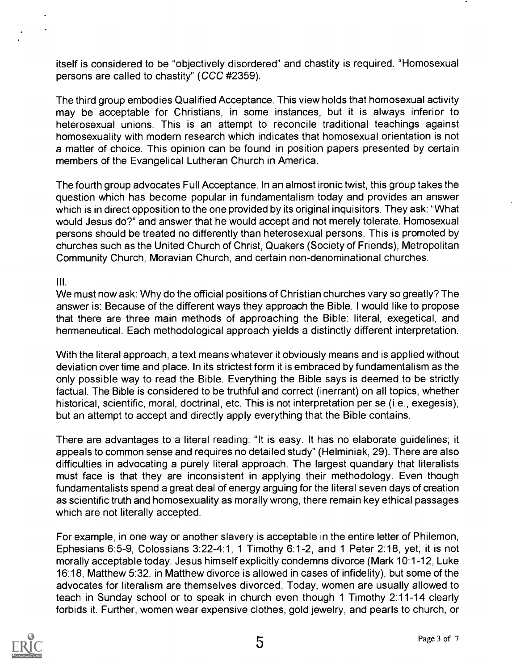itself is considered to be "objectively disordered" and chastity is required. "Homosexual persons are called to chastity" (CCC #2359).

The third group embodies Qualified Acceptance. This view holds that homosexual activity may be acceptable for Christians, in some instances, but it is always inferior to heterosexual unions. This is an attempt to reconcile traditional teachings against homosexuality with modern research which indicates that homosexual orientation is not a matter of choice. This opinion can be found in position papers presented by certain members of the Evangelical Lutheran Church in America.

The fourth group advocates Full Acceptance. In an almost ironic twist, this group takes the question which has become popular in fundamentalism today and provides an answer which is in direct opposition to the one provided by its original inquisitors. They ask: "What would Jesus do?" and answer that he would accept and not merely tolerate. Homosexual persons should be treated no differently than heterosexual persons. This is promoted by churches such as the United Church of Christ, Quakers (Society of Friends), Metropolitan Community Church, Moravian Church, and certain non-denominational churches.

III.

We must now ask: Why do the official positions of Christian churches vary so greatly? The answer is: Because of the different ways they approach the Bible. I would like to propose that there are three main methods of approaching the Bible: literal, exegetical, and hermeneutical. Each methodological approach yields a distinctly different interpretation.

With the literal approach, a text means whatever it obviously means and is applied without deviation over time and place. In its strictest form it is embraced by fundamentalism as the only possible way to read the Bible. Everything the Bible says is deemed to be strictly factual. The Bible is considered to be truthful and correct (inerrant) on all topics, whether historical, scientific, moral, doctrinal, etc. This is not interpretation per se (i.e., exegesis), but an attempt to accept and directly apply everything that the Bible contains.

There are advantages to a literal reading: "It is easy. It has no elaborate guidelines; it appeals to common sense and requires no detailed study" (Helminiak, 29). There are also difficulties in advocating a purely literal approach. The largest quandary that literalists must face is that they are inconsistent in applying their methodology. Even though fundamentalists spend a great deal of energy arguing for the literal seven days of creation as scientific truth and homosexuality as morally wrong, there remain key ethical passages which are not literally accepted.

For example, in one way or another slavery is acceptable in the entire letter of Philemon, Ephesians 6:5-9, Colossians 3:22-4:1, 1 Timothy 6:1-2, and 1 Peter 2:18, yet, it is not morally acceptable today. Jesus himself explicitly condemns divorce (Mark 10:1-12, Luke 16:18, Matthew 5:32, in Matthew divorce is allowed in cases of infidelity), but some of the advocates for literalism are themselves divorced. Today, women are usually allowed to teach in Sunday school or to speak in church even though 1 Timothy 2:11-14 clearly forbids it. Further, women wear expensive clothes, gold jewelry, and pearls to church, or

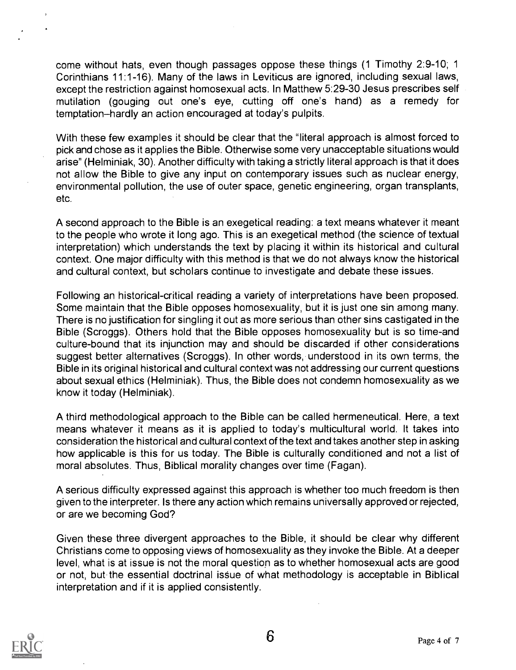come without hats, even though passages oppose these things (1 Timothy 2:9-10; 1 Corinthians 11:1-16). Many of the laws in Leviticus are ignored, including sexual laws, except the restriction against homosexual acts. In Matthew 5:29-30 Jesus prescribes self mutilation (gouging out one's eye, cutting off one's hand) as a remedy for temptation-hardly an action encouraged at today's pulpits.

With these few examples it should be clear that the "literal approach is almost forced to pick and chose as it applies the Bible. Otherwise some very unacceptable situations would arise" (Helminiak, 30). Another difficulty with taking a strictly literal approach is that it does not allow the Bible to give any input on contemporary issues such as nuclear energy, environmental pollution, the use of outer space, genetic engineering, organ transplants, etc.

A second approach to the Bible is an exegetical reading: a text means whatever it meant to the people who wrote it long ago. This is an exegetical method (the science of textual interpretation) which understands the text by placing it within its historical and cultural context. One major difficulty with this method is that we do not always know the historical and cultural context, but scholars continue to investigate and debate these issues.

Following an historical-critical reading a variety of interpretations have been proposed. Some maintain that the Bible opposes homosexuality, but it is just one sin among many. There is no justification for singling it out as more serious than other sins castigated in the Bible (Scroggs). Others hold that the Bible opposes homosexuality but is so time-and culture-bound that its injunction may and should be discarded if other considerations suggest better alternatives (Scroggs). In other words, understood in its own terms, the Bible in its original historical and cultural context was not addressing our current questions about sexual ethics (Helminiak). Thus, the Bible does not condemn homosexuality as we know it today (Helminiak).

A third methodological approach to the Bible can be called hermeneutical. Here, a text means whatever it means as it is applied to today's multicultural world. It takes into consideration the historical and cultural context of the text and takes another step in asking how applicable is this for us today. The Bible is culturally conditioned and not a list of moral absolutes. Thus, Biblical morality changes over time (Fagan).

A serious difficulty expressed against this approach is whether too much freedom is then given to the interpreter. Is there any action which remains universally approved or rejected, or are we becoming God?

Given these three divergent approaches to the Bible, it should be clear why different Christians come to opposing views of homosexuality as they invoke the Bible. At a deeper level, what is at issue is not the moral question as to whether homosexual acts are good or not, but the essential doctrinal issue of what methodology is acceptable in Biblical interpretation and if it is applied consistently.

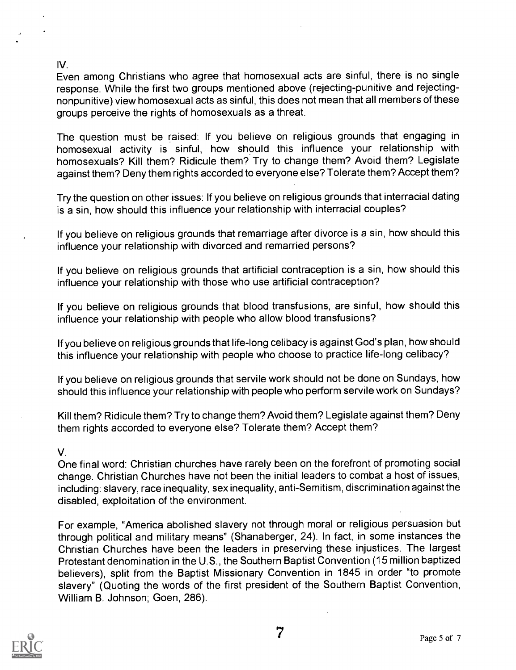#### IV.

Even among Christians who agree that homosexual acts are sinful, there is no single response. While the first two groups mentioned above (rejecting-punitive and rejectingnonpunitive) view homosexual acts as sinful, this does not mean that all members of these groups perceive the rights of homosexuals as a threat.

The question must be raised: If you believe on religious grounds that engaging in homosexual activity is sinful, how should this influence your relationship with homosexuals? Kill them? Ridicule them? Try to change them? Avoid them? Legislate against them? Deny them rights accorded to everyone else? Tolerate them? Accept them?

Try the question on other issues: If you believe on religious grounds that interracial dating is a sin, how should this influence your relationship with interracial couples?

If you believe on religious grounds that remarriage after divorce is a sin, how should this influence your relationship with divorced and remarried persons?

If you believe on religious grounds that artificial contraception is a sin, how should this influence your relationship with those who use artificial contraception?

If you believe on religious grounds that blood transfusions, are sinful, how should this influence your relationship with people who allow blood transfusions?

If you believe on religious grounds that life-long celibacy is against God's plan, how should this influence your relationship with people who choose to practice life-long celibacy?

If you believe on religious grounds that servile work should not be done on Sundays, how should this influence your relationship with people who perform servile work on Sundays?

Kill them? Ridicule them? Try to change them? Avoid them? Legislate against them? Deny them rights accorded to everyone else? Tolerate them? Accept them?

#### V.

One final word: Christian churches have rarely been on the forefront of promoting social change. Christian Churches have not been the initial leaders to combat a host of issues, including: slavery, race inequality, sex inequality, anti-Semitism, discrimination against the disabled, exploitation of the environment.

For example, "America abolished slavery not through moral or religious persuasion but through political and military means" (Shanaberger, 24). In fact, in some instances the Christian Churches have been the leaders in preserving these injustices. The largest Protestant denomination in the U.S., the Southern Baptist Convention (15 million baptized believers), split from the Baptist Missionary Convention in 1845 in order "to promote slavery" (Quoting the words of the first president of the Southern Baptist Convention, William B. Johnson; Goen, 286).

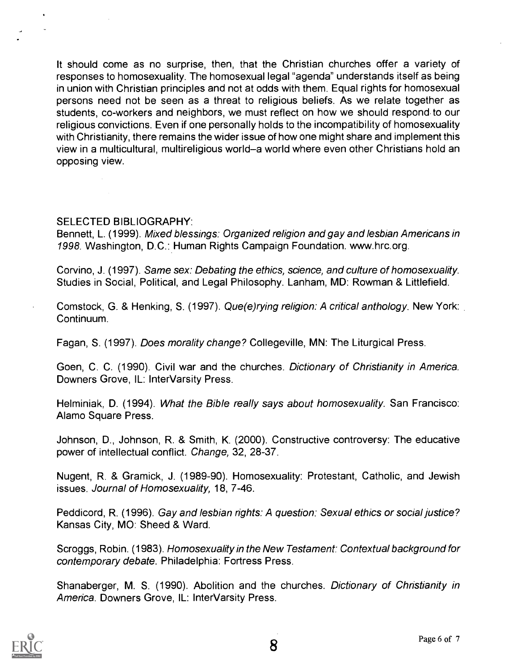It should come as no surprise, then, that the Christian churches offer a variety of responses to homosexuality. The homosexual legal "agenda" understands itself as being in union with Christian principles and not at odds with them. Equal rights for homosexual persons need not be seen as a threat to religious beliefs. As we relate together as students, co-workers and neighbors, we must reflect on how we should respond, to our religious convictions. Even if one personally holds to the incompatibility of homosexuality with Christianity, there remains the wider issue of how one might share and implement this view in a multicultural, multireligious world-a world where even other Christians hold an opposing view.

#### SELECTED BIBLIOGRAPHY:

Bennett, L. (1999). Mixed blessings: Organized religion and gay and lesbian Americans in 1998. Washington, D.C.: Human Rights Campaign Foundation. www.hrc.org.

Corvino, J. (1997). Same sex: Debating the ethics, science, and culture of homosexuality. Studies in Social, Political, and Legal Philosophy. Lanham, MD: Rowman & Littlefield.

Comstock, G. & Henking, S. (1997). Que(e)rying religion: A critical anthology. New York: Continuum.

Fagan, S. (1997). Does morality change? Collegeville, MN: The Liturgical Press.

Goen, C. C. (1990). Civil war and the churches. Dictionary of Christianity in America. Downers Grove, IL: InterVarsity Press.

Helminiak, D. (1994). What the Bible really says about homosexuality. San Francisco: Alamo Square Press.

Johnson, D., Johnson, R. & Smith, K. (2000). Constructive controversy: The educative power of intellectual conflict. Change, 32, 28-37.

Nugent, R. & Gramick, J. (1989-90). Homosexuality: Protestant, Catholic, and Jewish issues. Journal of Homosexuality, 18, 7-46.

Peddicord, R. (1996). Gay and lesbian rights: A question: Sexual ethics or social justice? Kansas City, MO: Sheed & Ward.

Scroggs, Robin. (1983). Homosexuality in the New Testament: Contextual background for contemporary debate. Philadelphia: Fortress Press.

Shanaberger, M. S. (1990). Abolition and the churches. Dictionary of Christianity in America. Downers Grove, IL: InterVarsity Press.

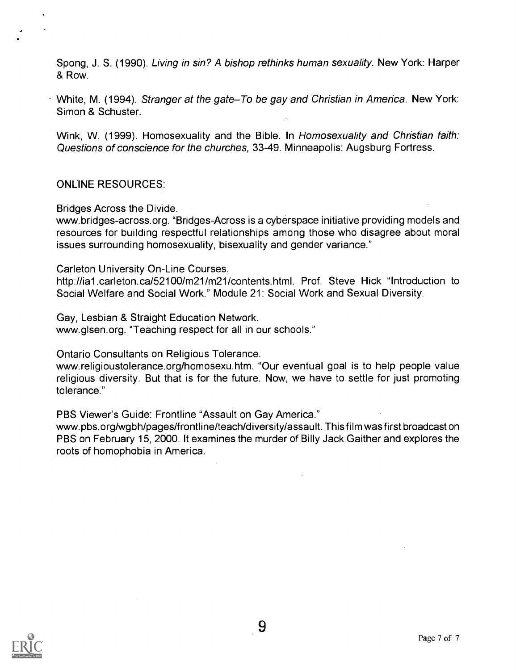Spong, J. S. (1990). Living in sin? A bishop rethinks human sexuality. New York: Harper & Row.

White, M. (1994). Stranger at the gate–To be gay and Christian in America. New York: Simon & Schuster.

Wink, W. (1999). Homosexuality and the Bible. In Homosexuality and Christian faith: Questions of conscience for the churches, 33-49. Minneapolis: Augsburg Fortress.

#### ONLINE RESOURCES:

Bridges Across the Divide.

www.bridges-across.org. "Bridges-Across is a cyberspace initiative providing models and resources for building respectful relationships among those who disagree about moral issues surrounding homosexuality, bisexuality and gender variance."

Carleton University On-Line Courses.

http://ia1.carleton.ca/52100/m21/m21/contents.html. Prof. Steve Hick "Introduction to Social Welfare and Social Work." Module 21: Social Work and Sexual Diversity.

Gay, Lesbian & Straight Education Network.

www.glsen.org. "Teaching respect for all in our schools."

Ontario Consultants on Religious Tolerance.

www.religioustolerance.org/homosexu.htm. "Our eventual goal is to help people value religious diversity. But that is for the future. Now, we have to settle for just promoting tolerance."

PBS Viewer's Guide: Frontline "Assault on Gay America."

vvww.pbs.org/wgbh/pages/frontline/teach/diversity/assault. This film was first broadcast on PBS on February 15, 2000. It examines the murder of Billy Jack Gaither and explores the roots of homophobia in America.

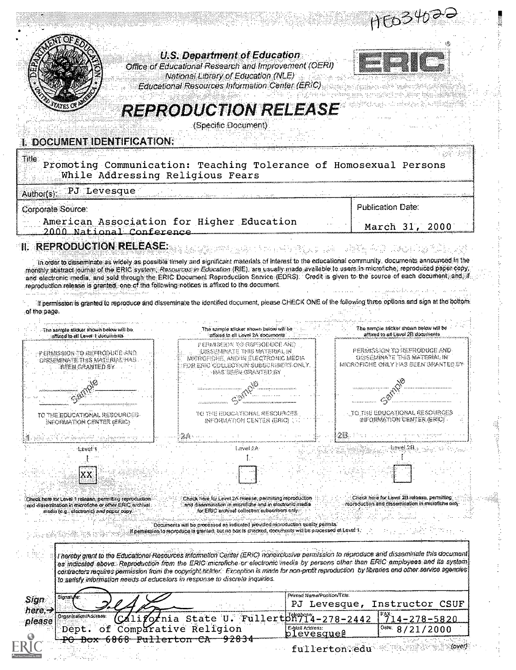|                                                                                                                                                                                                                                                                                                                                                                                                                                                                                                                                                                                                                                                                                                                                    |                                                                                                                                                                                                                                                                                                                                                                                                                                                                                                                   |                                              | HEO3402-                                                                                          |                  |
|------------------------------------------------------------------------------------------------------------------------------------------------------------------------------------------------------------------------------------------------------------------------------------------------------------------------------------------------------------------------------------------------------------------------------------------------------------------------------------------------------------------------------------------------------------------------------------------------------------------------------------------------------------------------------------------------------------------------------------|-------------------------------------------------------------------------------------------------------------------------------------------------------------------------------------------------------------------------------------------------------------------------------------------------------------------------------------------------------------------------------------------------------------------------------------------------------------------------------------------------------------------|----------------------------------------------|---------------------------------------------------------------------------------------------------|------------------|
|                                                                                                                                                                                                                                                                                                                                                                                                                                                                                                                                                                                                                                                                                                                                    | <b>U.S. Department of Education</b><br>Office of Educational Research and Improvement (OERI)<br>National Library of Education (NLE)<br>Educational Resources Information Center (ERIC)                                                                                                                                                                                                                                                                                                                            |                                              |                                                                                                   |                  |
| I. DOCUMENT IDENTIFICATION:                                                                                                                                                                                                                                                                                                                                                                                                                                                                                                                                                                                                                                                                                                        | <b>REPRODUCTION RELEASE</b><br>(Specific Document)                                                                                                                                                                                                                                                                                                                                                                                                                                                                |                                              |                                                                                                   |                  |
| Title:<br>Promoting Communication: Teaching Tolerance of Homosexual Persons<br>While Addressing Religious Fears                                                                                                                                                                                                                                                                                                                                                                                                                                                                                                                                                                                                                    |                                                                                                                                                                                                                                                                                                                                                                                                                                                                                                                   |                                              |                                                                                                   |                  |
| PJ Levesque<br>Author(s):                                                                                                                                                                                                                                                                                                                                                                                                                                                                                                                                                                                                                                                                                                          |                                                                                                                                                                                                                                                                                                                                                                                                                                                                                                                   | $\cdots$                                     |                                                                                                   |                  |
| Corporate Source:                                                                                                                                                                                                                                                                                                                                                                                                                                                                                                                                                                                                                                                                                                                  |                                                                                                                                                                                                                                                                                                                                                                                                                                                                                                                   |                                              | Publication Date:                                                                                 |                  |
| American Association for Higher Education<br>2000 National Conference                                                                                                                                                                                                                                                                                                                                                                                                                                                                                                                                                                                                                                                              |                                                                                                                                                                                                                                                                                                                                                                                                                                                                                                                   |                                              | March 31, 2000                                                                                    |                  |
| <b>II. REPRODUCTION RELEASE:</b>                                                                                                                                                                                                                                                                                                                                                                                                                                                                                                                                                                                                                                                                                                   |                                                                                                                                                                                                                                                                                                                                                                                                                                                                                                                   |                                              | 아내 부모는 일에 남편을 하는 그의 사람들이 사고 있다. 그리고 있다.                                                           |                  |
| In order to disseminate as widely as possible timely and significant materials of interest to the educational community, documents announced in the<br>monthly abstract journal of the ERIC system. Resources in Education (RIE), are usually made available to users in microfiche, reproduced paper copy,<br>and electronic media, and sold through the ERIC Document Reproduction Sarvice (EDRS). Credit is given to the source of each document, and if<br>reproduction release is granted, one of the following notices is affixed to the document.<br>If permission is granted to reproduce and disseminate the identified decument, please CHECK ONE of the following three options and sign at the bottom-<br>of the page. |                                                                                                                                                                                                                                                                                                                                                                                                                                                                                                                   |                                              |                                                                                                   |                  |
| an i shekara ta kasar an Danna Caranah<br>The sample slicker about below will be<br>altized to all Level (documents)                                                                                                                                                                                                                                                                                                                                                                                                                                                                                                                                                                                                               | The sample silcker shown becomes be<br>attixed to ell Lovel 24 cocurrents.                                                                                                                                                                                                                                                                                                                                                                                                                                        |                                              | The semple stoker shown helow will be<br>affixed to at Lovel 2B documents.                        |                  |
| -p ermission to reproduce and<br>ossemmateths materialtual<br>ibeen granted sy.                                                                                                                                                                                                                                                                                                                                                                                                                                                                                                                                                                                                                                                    | permiseda ve osproduce and<br>KASKEMMATE THIS MATERIAL N<br>meropohe, ander electronic media<br>erio collectera subscaibetts only.<br>MS SEER ORANTED BY                                                                                                                                                                                                                                                                                                                                                          |                                              | permission to exproduce and<br>ossecimmate thes material in<br>MOROFONE ONLY : WS SULN GRANTED UY |                  |
|                                                                                                                                                                                                                                                                                                                                                                                                                                                                                                                                                                                                                                                                                                                                    |                                                                                                                                                                                                                                                                                                                                                                                                                                                                                                                   |                                              |                                                                                                   |                  |
|                                                                                                                                                                                                                                                                                                                                                                                                                                                                                                                                                                                                                                                                                                                                    |                                                                                                                                                                                                                                                                                                                                                                                                                                                                                                                   |                                              |                                                                                                   |                  |
| to the educational rescurces.<br>ineommation center (eric)                                                                                                                                                                                                                                                                                                                                                                                                                                                                                                                                                                                                                                                                         | TE THE EDUCATIONAL SE SOURCES<br>information center (ERR)                                                                                                                                                                                                                                                                                                                                                                                                                                                         |                                              | to the Educational Resource<br>awormoton Center (Eric)                                            |                  |
|                                                                                                                                                                                                                                                                                                                                                                                                                                                                                                                                                                                                                                                                                                                                    |                                                                                                                                                                                                                                                                                                                                                                                                                                                                                                                   |                                              |                                                                                                   |                  |
| <b>Revel 1</b>                                                                                                                                                                                                                                                                                                                                                                                                                                                                                                                                                                                                                                                                                                                     | Eawal 2A                                                                                                                                                                                                                                                                                                                                                                                                                                                                                                          |                                              |                                                                                                   |                  |
| Check here for Level 1 release, permitting reproduction.<br>and dissemination in microfiche or other ERIC archival.<br>modes (e.g., electronic) and paper over.                                                                                                                                                                                                                                                                                                                                                                                                                                                                                                                                                                    | Check hare for Level 2A release, permiting reproduction<br>sharri olnottuale ni una erhitmana matemassih tres.<br>for ERIC erchival collection subscribute only.<br>Documents will be processed as indicated provided poncourabon quality permits.<br>il pemession la reproduce la graniad, but no box ls crisossal, decisions la will be processed al Level T.                                                                                                                                                   |                                              | Check here for Level 23 release, permiting<br>reprocustion and dissemination in microfiche only   |                  |
|                                                                                                                                                                                                                                                                                                                                                                                                                                                                                                                                                                                                                                                                                                                                    | I hereby grant to the Educational Resources Information Center (ERIC) horiexclusive permission to reproduce and disseminate this document<br>as indicated above. Reproduction from the ERIC microfiche or electronic media by persons other than ERIC amployees and its system<br>contractors requires permission from the copyright holder. Exception is made for non-profit reproduction by fluraries and other service systems<br>to salisfy information needs of educators in response to discrete inquiries. |                                              |                                                                                                   |                  |
| Sipast≬is:<br>Sign                                                                                                                                                                                                                                                                                                                                                                                                                                                                                                                                                                                                                                                                                                                 |                                                                                                                                                                                                                                                                                                                                                                                                                                                                                                                   | Printed Nama (Position/Trib:<br>PJ Levesque, | Instructor CSUF                                                                                   |                  |
| here, <del>J</del><br>Organizaism/Aodress.<br>please<br>Dept.                                                                                                                                                                                                                                                                                                                                                                                                                                                                                                                                                                                                                                                                      | ifornia State U. Fullertbn914-278-2442<br>of Comparative Religion                                                                                                                                                                                                                                                                                                                                                                                                                                                 | E-Mail Acoresa:                              | Oste: I<br>8/21/2000                                                                              | $4 - 278 - 5820$ |
|                                                                                                                                                                                                                                                                                                                                                                                                                                                                                                                                                                                                                                                                                                                                    | 6868 Fullerton CA 92834                                                                                                                                                                                                                                                                                                                                                                                                                                                                                           | <u>plevesque@</u><br>fullerton: edu          |                                                                                                   |                  |